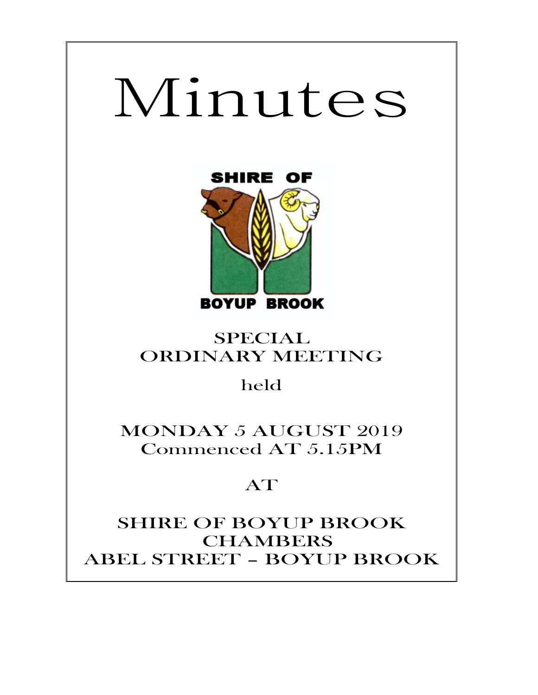# Minutes



# SPECIAL ORDINARY MEETING

held

MONDAY 5 AUGUST 2019 Commenced AT 5.15PM

# AT

SHIRE OF BOYUP BROOK CHAMBERS ABEL STREET – BOYUP BROOK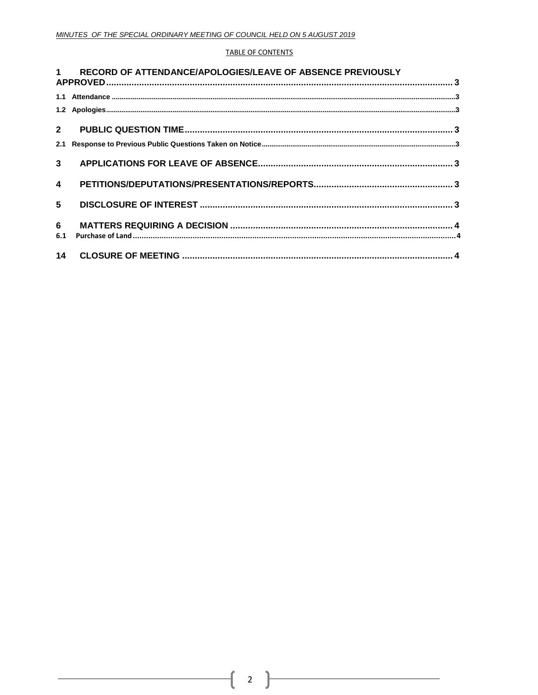#### **TABLE OF CONTENTS**

|                         | 1 RECORD OF ATTENDANCE/APOLOGIES/LEAVE OF ABSENCE PREVIOUSLY |  |
|-------------------------|--------------------------------------------------------------|--|
|                         |                                                              |  |
|                         |                                                              |  |
|                         |                                                              |  |
| $2^{\circ}$             |                                                              |  |
|                         |                                                              |  |
| 3 <sup>7</sup>          |                                                              |  |
| $\overline{\mathbf{4}}$ |                                                              |  |
| 5 <sub>5</sub>          |                                                              |  |
| 6                       |                                                              |  |
| 6.1                     |                                                              |  |
|                         |                                                              |  |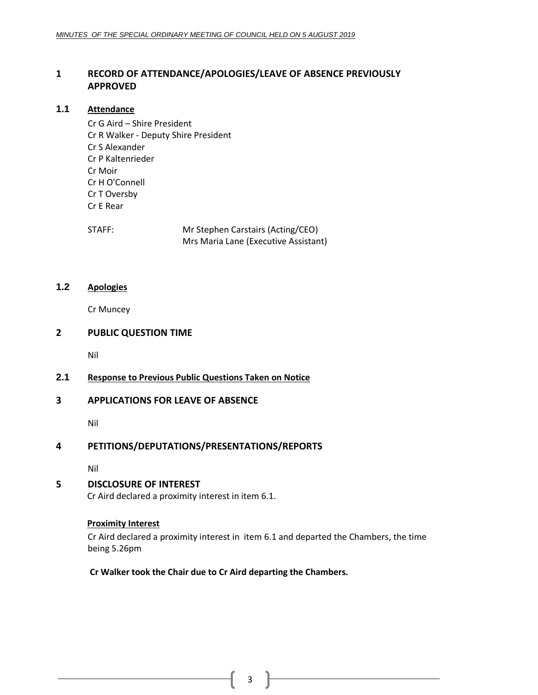# <span id="page-2-0"></span>**1 RECORD OF ATTENDANCE/APOLOGIES/LEAVE OF ABSENCE PREVIOUSLY APPROVED**

## <span id="page-2-1"></span>**1.1 Attendance**

Cr G Aird – Shire President Cr R Walker - Deputy Shire President Cr S Alexander Cr P Kaltenrieder Cr Moir Cr H O'Connell Cr T Oversby Cr E Rear

STAFF: Mr Stephen Carstairs (Acting/CEO) Mrs Maria Lane (Executive Assistant)

# <span id="page-2-2"></span>**1.2 Apologies**

Cr Muncey

# <span id="page-2-3"></span>**2 PUBLIC QUESTION TIME**

Nil

# <span id="page-2-4"></span>**2.1 Response to Previous Public Questions Taken on Notice**

# <span id="page-2-5"></span>**3 APPLICATIONS FOR LEAVE OF ABSENCE**

Nil

# <span id="page-2-6"></span>**4 PETITIONS/DEPUTATIONS/PRESENTATIONS/REPORTS**

Nil

# <span id="page-2-7"></span>**5 DISCLOSURE OF INTEREST**

Cr Aird declared a proximity interest in item 6.1.

#### **Proximity Interest**

Cr Aird declared a proximity interest in item 6.1 and departed the Chambers, the time being 5.26pm

**Cr Walker took the Chair due to Cr Aird departing the Chambers.**

 $3 \mid$